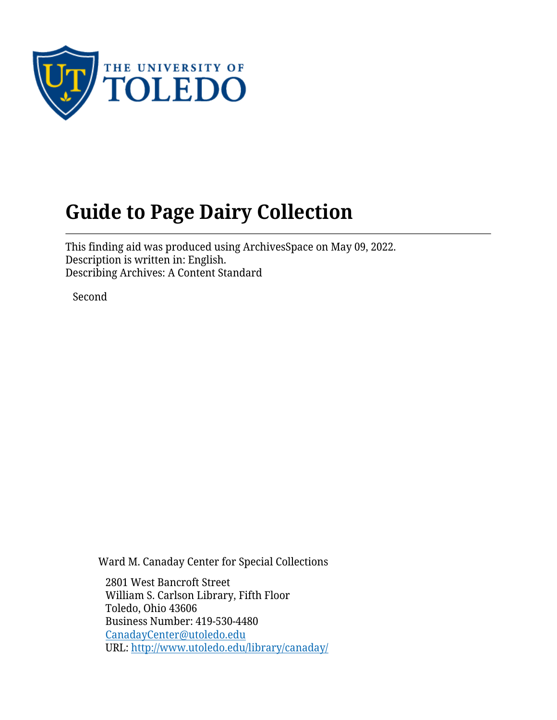

# **Guide to Page Dairy Collection**

This finding aid was produced using ArchivesSpace on May 09, 2022. Description is written in: English. Describing Archives: A Content Standard

Second

Ward M. Canaday Center for Special Collections

2801 West Bancroft Street William S. Carlson Library, Fifth Floor Toledo, Ohio 43606 Business Number: 419-530-4480 [CanadayCenter@utoledo.edu](mailto:CanadayCenter@utoledo.edu) URL:<http://www.utoledo.edu/library/canaday/>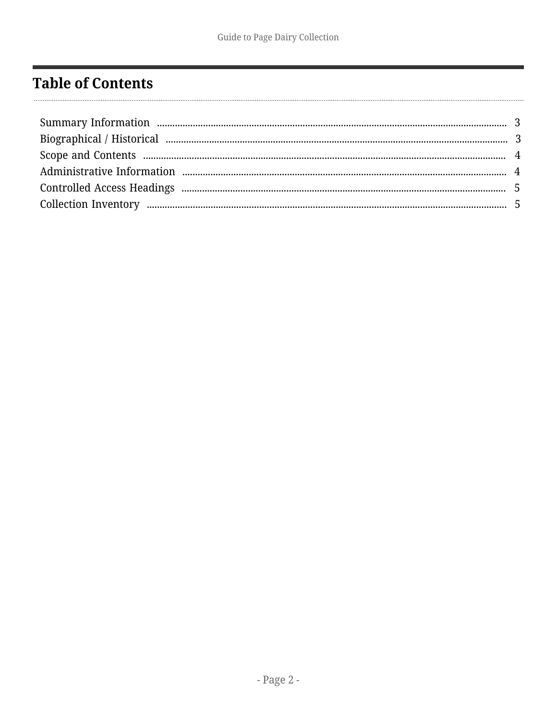# <span id="page-1-0"></span>**Table of Contents**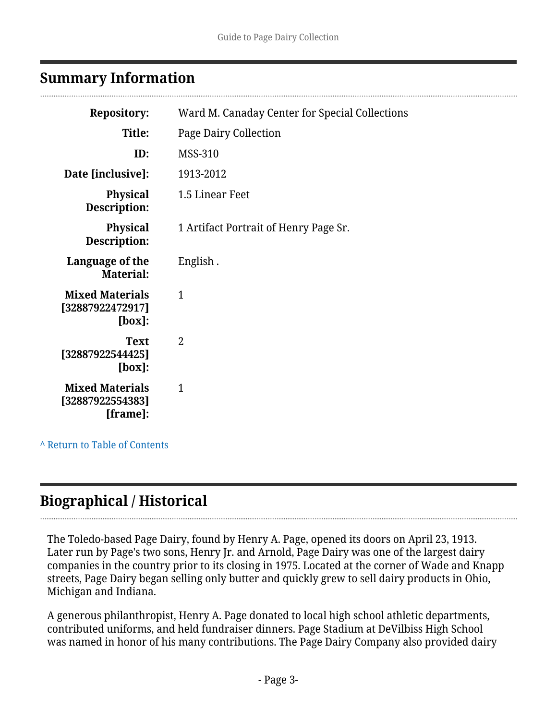### <span id="page-2-0"></span>**Summary Information**

| <b>Repository:</b>                                      | Ward M. Canaday Center for Special Collections |
|---------------------------------------------------------|------------------------------------------------|
| Title:                                                  | <b>Page Dairy Collection</b>                   |
| ID:                                                     | <b>MSS-310</b>                                 |
| Date [inclusive]:                                       | 1913-2012                                      |
| <b>Physical</b><br><b>Description:</b>                  | 1.5 Linear Feet                                |
| <b>Physical</b><br>Description:                         | 1 Artifact Portrait of Henry Page Sr.          |
| Language of the<br>Material:                            | English.                                       |
| <b>Mixed Materials</b><br>[32887922472917]<br>$[box]$ : | 1                                              |
| <b>Text</b><br>[32887922544425]<br>[box]:               | $\mathfrak{D}$                                 |
| <b>Mixed Materials</b><br>[32887922554383]<br>[frame]:  | 1                                              |
|                                                         |                                                |

**^** [Return to Table of Contents](#page-1-0)

# <span id="page-2-1"></span>**Biographical / Historical**

The Toledo-based Page Dairy, found by Henry A. Page, opened its doors on April 23, 1913. Later run by Page's two sons, Henry Jr. and Arnold, Page Dairy was one of the largest dairy companies in the country prior to its closing in 1975. Located at the corner of Wade and Knapp streets, Page Dairy began selling only butter and quickly grew to sell dairy products in Ohio, Michigan and Indiana.

A generous philanthropist, Henry A. Page donated to local high school athletic departments, contributed uniforms, and held fundraiser dinners. Page Stadium at DeVilbiss High School was named in honor of his many contributions. The Page Dairy Company also provided dairy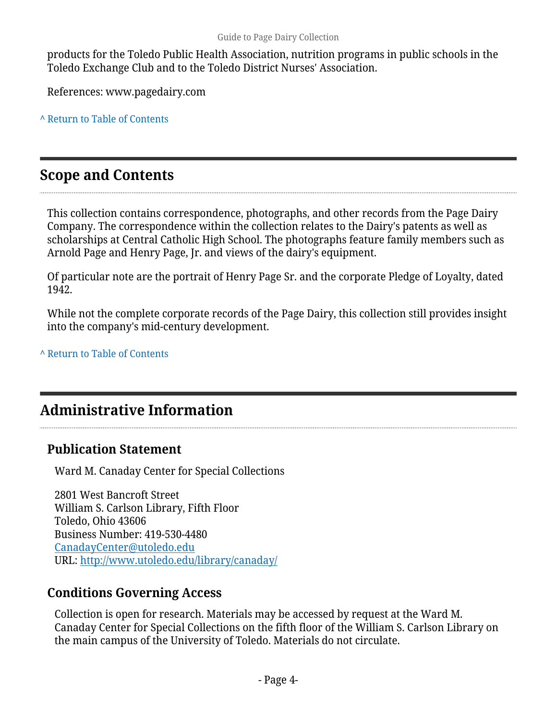products for the Toledo Public Health Association, nutrition programs in public schools in the Toledo Exchange Club and to the Toledo District Nurses' Association.

References: www.pagedairy.com

**^** [Return to Table of Contents](#page-1-0)

### <span id="page-3-0"></span>**Scope and Contents**

This collection contains correspondence, photographs, and other records from the Page Dairy Company. The correspondence within the collection relates to the Dairy's patents as well as scholarships at Central Catholic High School. The photographs feature family members such as Arnold Page and Henry Page, Jr. and views of the dairy's equipment.

Of particular note are the portrait of Henry Page Sr. and the corporate Pledge of Loyalty, dated 1942.

While not the complete corporate records of the Page Dairy, this collection still provides insight into the company's mid-century development.

#### **^** [Return to Table of Contents](#page-1-0)

### <span id="page-3-1"></span>**Administrative Information**

#### **Publication Statement**

Ward M. Canaday Center for Special Collections

2801 West Bancroft Street William S. Carlson Library, Fifth Floor Toledo, Ohio 43606 Business Number: 419-530-4480 [CanadayCenter@utoledo.edu](mailto:CanadayCenter@utoledo.edu) URL:<http://www.utoledo.edu/library/canaday/>

#### **Conditions Governing Access**

Collection is open for research. Materials may be accessed by request at the Ward M. Canaday Center for Special Collections on the fifth floor of the William S. Carlson Library on the main campus of the University of Toledo. Materials do not circulate.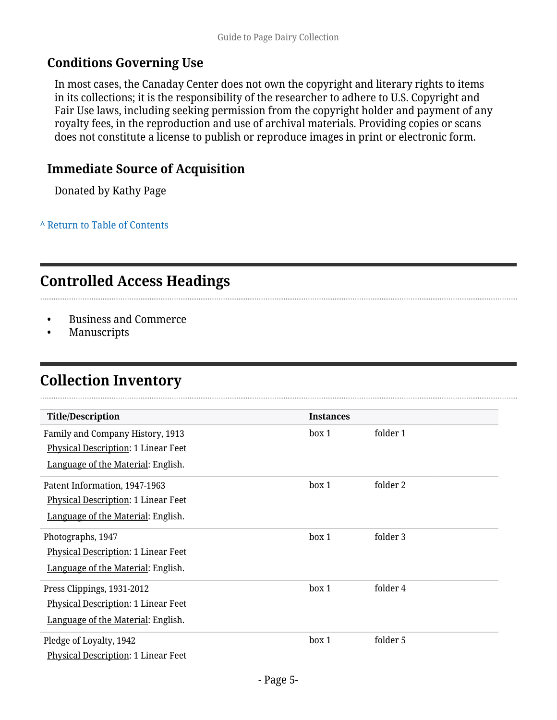#### **Conditions Governing Use**

In most cases, the Canaday Center does not own the copyright and literary rights to items in its collections; it is the responsibility of the researcher to adhere to U.S. Copyright and Fair Use laws, including seeking permission from the copyright holder and payment of any royalty fees, in the reproduction and use of archival materials. Providing copies or scans does not constitute a license to publish or reproduce images in print or electronic form.

#### **Immediate Source of Acquisition**

Donated by Kathy Page

**^** [Return to Table of Contents](#page-1-0)

# <span id="page-4-0"></span>**Controlled Access Headings**

- Business and Commerce
- Manuscripts

# <span id="page-4-1"></span>**Collection Inventory**

| <b>Title/Description</b>                                                                                | <b>Instances</b> |          |
|---------------------------------------------------------------------------------------------------------|------------------|----------|
| Family and Company History, 1913<br>Physical Description: 1 Linear Feet                                 | box 1            | folder 1 |
| Language of the Material: English.                                                                      |                  |          |
| Patent Information, 1947-1963<br>Physical Description: 1 Linear Feet                                    | box 1            | folder 2 |
| Language of the Material: English.                                                                      |                  |          |
| Photographs, 1947<br>Physical Description: 1 Linear Feet                                                | box 1            | folder 3 |
| Language of the Material: English.                                                                      |                  |          |
| Press Clippings, 1931-2012<br>Physical Description: 1 Linear Feet<br>Language of the Material: English. | box 1            | folder 4 |
| Pledge of Loyalty, 1942<br>Physical Description: 1 Linear Feet                                          | box 1            | folder 5 |